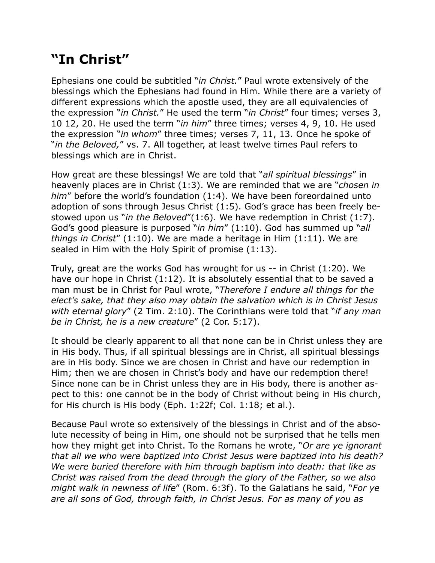## **"In Christ"**

Ephesians one could be subtitled "*in Christ.*" Paul wrote extensively of the blessings which the Ephesians had found in Him. While there are a variety of different expressions which the apostle used, they are all equivalencies of the expression "*in Christ.*" He used the term "*in Christ*" four times; verses 3, 10 12, 20. He used the term "*in him*" three times; verses 4, 9, 10. He used the expression "*in whom*" three times; verses 7, 11, 13. Once he spoke of "*in the Beloved,*" vs. 7. All together, at least twelve times Paul refers to blessings which are in Christ.

How great are these blessings! We are told that "*all spiritual blessings*" in heavenly places are in Christ (1:3). We are reminded that we are "*chosen in him*" before the world's foundation (1:4). We have been foreordained unto adoption of sons through Jesus Christ (1:5). God's grace has been freely bestowed upon us "*in the Beloved*"(1:6). We have redemption in Christ (1:7). God's good pleasure is purposed "*in him*" (1:10). God has summed up "*all things in Christ*" (1:10). We are made a heritage in Him (1:11). We are sealed in Him with the Holy Spirit of promise (1:13).

Truly, great are the works God has wrought for us -- in Christ (1:20). We have our hope in Christ (1:12). It is absolutely essential that to be saved a man must be in Christ for Paul wrote, "*Therefore I endure all things for the elect's sake, that they also may obtain the salvation which is in Christ Jesus with eternal glory*" (2 Tim. 2:10). The Corinthians were told that "*if any man be in Christ, he is a new creature*" (2 Cor. 5:17).

It should be clearly apparent to all that none can be in Christ unless they are in His body. Thus, if all spiritual blessings are in Christ, all spiritual blessings are in His body. Since we are chosen in Christ and have our redemption in Him; then we are chosen in Christ's body and have our redemption there! Since none can be in Christ unless they are in His body, there is another aspect to this: one cannot be in the body of Christ without being in His church, for His church is His body (Eph. 1:22f; Col. 1:18; et al.).

Because Paul wrote so extensively of the blessings in Christ and of the absolute necessity of being in Him, one should not be surprised that he tells men how they might get into Christ. To the Romans he wrote, "*Or are ye ignorant that all we who were baptized into Christ Jesus were baptized into his death? We were buried therefore with him through baptism into death: that like as Christ was raised from the dead through the glory of the Father, so we also might walk in newness of life*" (Rom. 6:3f). To the Galatians he said, "*For ye are all sons of God, through faith, in Christ Jesus. For as many of you as*